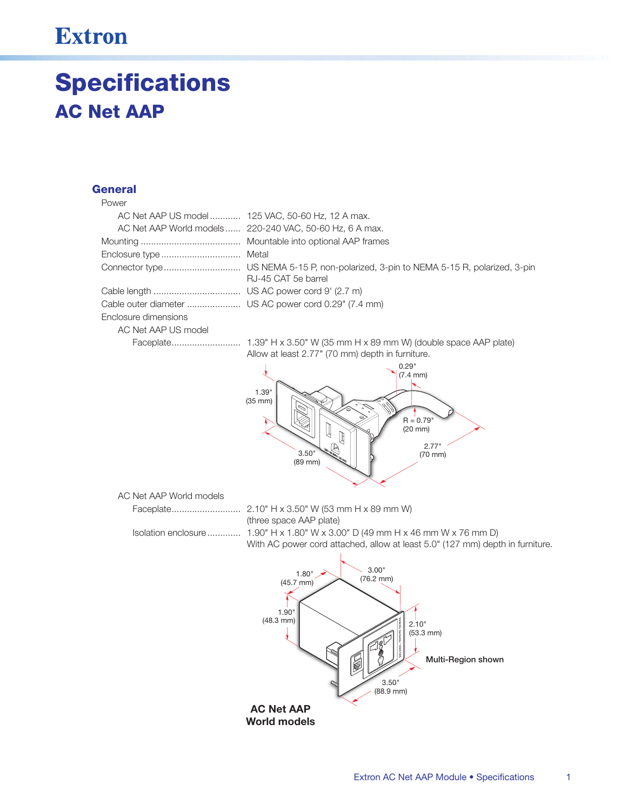## **Extron**

# **Specifications AC Net AAP**

### **General**

#### Power

|                      | AC Net AAP US model 125 VAC, 50-60 Hz, 12 A max.         |
|----------------------|----------------------------------------------------------|
|                      | AC Net AAP World models  220-240 VAC, 50-60 Hz, 6 A max. |
|                      |                                                          |
|                      |                                                          |
|                      | RJ-45 CAT 5e barrel                                      |
|                      |                                                          |
|                      |                                                          |
| Enclosure dimensions |                                                          |
| AC Net AAP US model  |                                                          |

Allow at least 2.77" (70 mm) depth in furniture.



AC Net AAP World models

(three space AAP plate) Isolation enclosure.............. 1.90" H x 1.80" W x 3.00" D (49 mm H x 46 mm W x 76 mm D) With AC power cord attached, allow at least 5.0" (127 mm) depth in furniture.